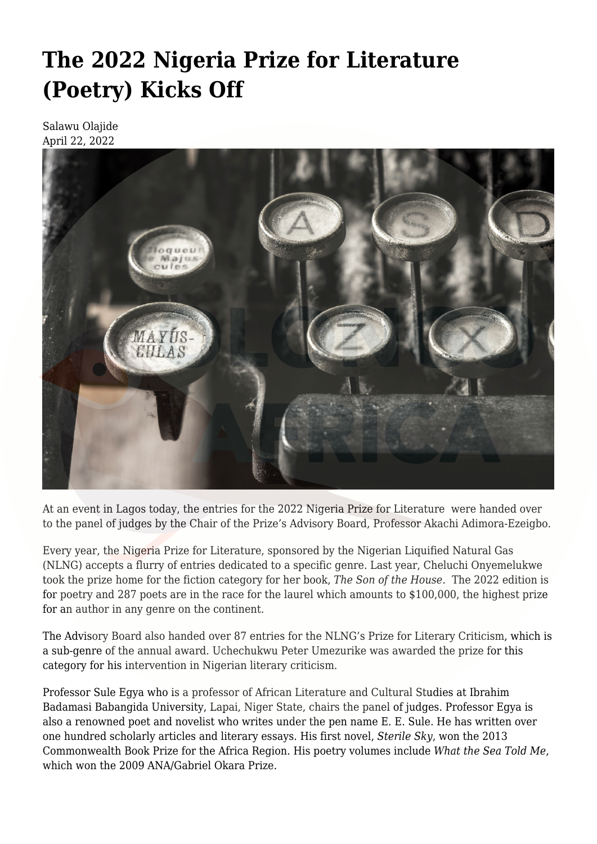## **[The 2022 Nigeria Prize for Literature](https://olongoafrica.com/the-2022-nigeria-prize-for-literature-poetry-kicks-off/) [\(Poetry\) Kicks Off](https://olongoafrica.com/the-2022-nigeria-prize-for-literature-poetry-kicks-off/)**

Salawu Olajide April 22, 2022



At an event in Lagos today, the entries for the 2022 Nigeria Prize for Literature were handed over to the panel of judges by the Chair of the Prize's Advisory Board, Professor Akachi Adimora-Ezeigbo.

Every year, the Nigeria Prize for Literature, sponsored by the Nigerian Liquified Natural Gas (NLNG) accepts a flurry of entries dedicated to a specific genre. Last year, [Cheluchi Onyemelukwe](https://olongoafrica.com/interview-i-am-a-child-of-the-80s/) took the prize home for the fiction category for her book, *[The Son of the House](https://olongoafrica.com/cheluchi-onyemelukwe-onuobias-gender-quest/).* The 2022 edition is for poetry and 287 poets are in the race for the laurel which amounts to \$100,000, the highest prize for an author in any genre on the continent.

The Advisory Board also handed over 87 entries for the NLNG's Prize for Literary Criticism, which is a sub-genre of the annual award. Uchechukwu Peter Umezurike was awarded the prize for this category for his intervention in Nigerian literary criticism.

Professor Sule Egya who is a professor of African Literature and Cultural Studies at Ibrahim Badamasi Babangida University, Lapai, Niger State, chairs the panel of judges. Professor Egya is also a renowned poet and novelist who writes under the pen name E. E. Sule. He has written over one hundred scholarly articles and literary essays. His first novel, *Sterile Sky*, won the 2013 Commonwealth Book Prize for the Africa Region. His poetry volumes include *What the Sea Told Me*, which won the 2009 ANA/Gabriel Okara Prize.